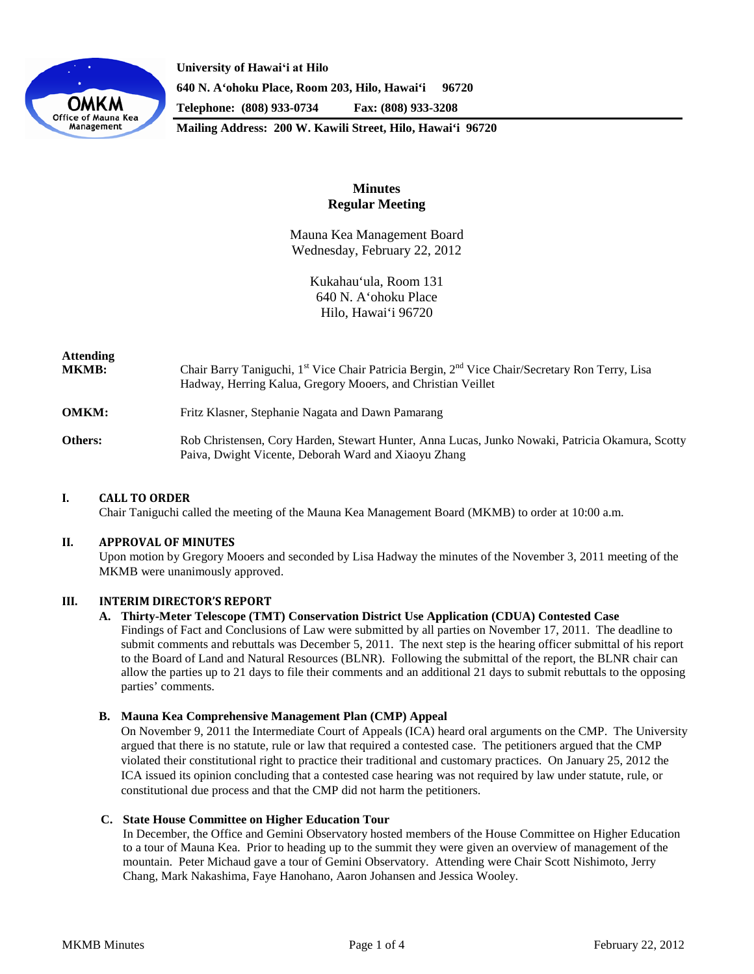

**University of Hawaiʻi at Hilo 640 N. A'ohoku Place, Room 203, Hilo, Hawai'i 96720 Telephone: (808) 933-0734 Fax: (808) 933-3208**

**Mailing Address: 200 W. Kawili Street, Hilo, Hawai'i 96720**

# **Minutes Regular Meeting**

Mauna Kea Management Board Wednesday, February 22, 2012

> Kukahau'ula, Room 131 640 N. A'ohoku Place Hilo, Hawai'i 96720

| <b>Attending</b><br><b>MKMB:</b> | Chair Barry Taniguchi, 1 <sup>st</sup> Vice Chair Patricia Bergin, 2 <sup>nd</sup> Vice Chair/Secretary Ron Terry, Lisa<br>Hadway, Herring Kalua, Gregory Mooers, and Christian Veillet |
|----------------------------------|-----------------------------------------------------------------------------------------------------------------------------------------------------------------------------------------|
| <b>OMKM:</b>                     | Fritz Klasner, Stephanie Nagata and Dawn Pamarang                                                                                                                                       |
| Others:                          | Rob Christensen, Cory Harden, Stewart Hunter, Anna Lucas, Junko Nowaki, Patricia Okamura, Scotty<br>Paiva, Dwight Vicente, Deborah Ward and Xiaoyu Zhang                                |

# **I. CALL TO ORDER**

Chair Taniguchi called the meeting of the Mauna Kea Management Board (MKMB) to order at 10:00 a.m.

### **II. APPROVAL OF MINUTES**

Upon motion by Gregory Mooers and seconded by Lisa Hadway the minutes of the November 3, 2011 meeting of the MKMB were unanimously approved.

### **III. INTERIM DIRECTOR'S REPORT**

#### **A. Thirty-Meter Telescope (TMT) Conservation District Use Application (CDUA) Contested Case**

Findings of Fact and Conclusions of Law were submitted by all parties on November 17, 2011. The deadline to submit comments and rebuttals was December 5, 2011. The next step is the hearing officer submittal of his report to the Board of Land and Natural Resources (BLNR). Following the submittal of the report, the BLNR chair can allow the parties up to 21 days to file their comments and an additional 21 days to submit rebuttals to the opposing parties' comments.

### **B. Mauna Kea Comprehensive Management Plan (CMP) Appeal**

On November 9, 2011 the Intermediate Court of Appeals (ICA) heard oral arguments on the CMP. The University argued that there is no statute, rule or law that required a contested case. The petitioners argued that the CMP violated their constitutional right to practice their traditional and customary practices. On January 25, 2012 the ICA issued its opinion concluding that a contested case hearing was not required by law under statute, rule, or constitutional due process and that the CMP did not harm the petitioners.

### **C. State House Committee on Higher Education Tour**

In December, the Office and Gemini Observatory hosted members of the House Committee on Higher Education to a tour of Mauna Kea. Prior to heading up to the summit they were given an overview of management of the mountain. Peter Michaud gave a tour of Gemini Observatory. Attending were Chair Scott Nishimoto, Jerry Chang, Mark Nakashima, Faye Hanohano, Aaron Johansen and Jessica Wooley.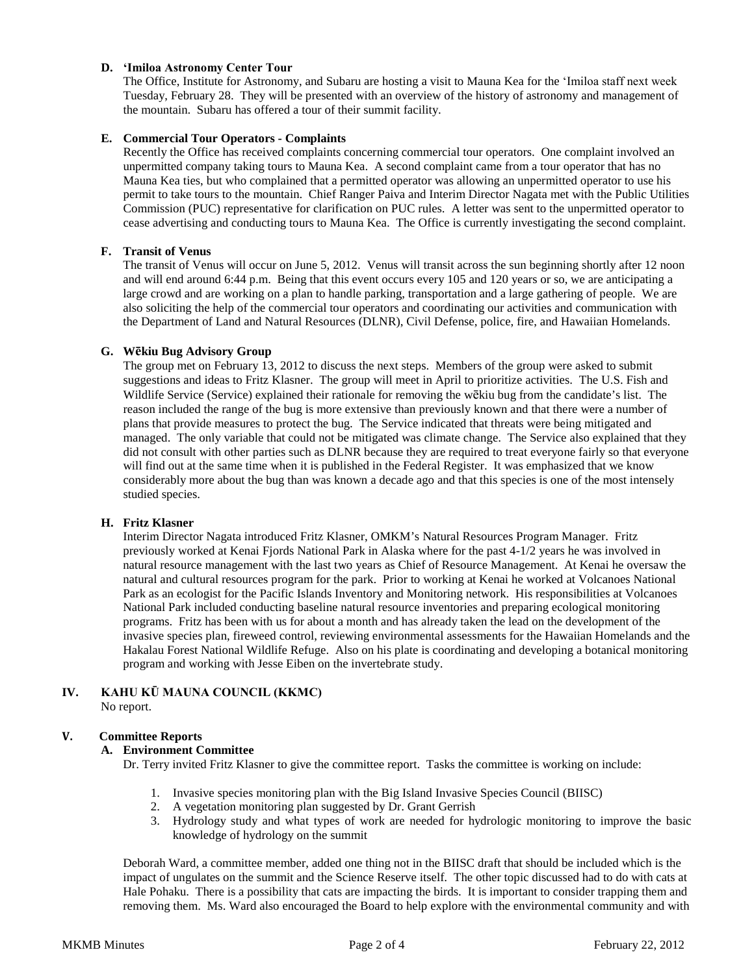# **D. ʻImiloa Astronomy Center Tour**

The Office, Institute for Astronomy, and Subaru are hosting a visit to Mauna Kea for the ʻImiloa staff next week Tuesday, February 28. They will be presented with an overview of the history of astronomy and management of the mountain. Subaru has offered a tour of their summit facility.

### **E. Commercial Tour Operators - Complaints**

Recently the Office has received complaints concerning commercial tour operators. One complaint involved an unpermitted company taking tours to Mauna Kea. A second complaint came from a tour operator that has no Mauna Kea ties, but who complained that a permitted operator was allowing an unpermitted operator to use his permit to take tours to the mountain. Chief Ranger Paiva and Interim Director Nagata met with the Public Utilities Commission (PUC) representative for clarification on PUC rules. A letter was sent to the unpermitted operator to cease advertising and conducting tours to Mauna Kea. The Office is currently investigating the second complaint.

### **F. Transit of Venus**

The transit of Venus will occur on June 5, 2012. Venus will transit across the sun beginning shortly after 12 noon and will end around 6:44 p.m. Being that this event occurs every 105 and 120 years or so, we are anticipating a large crowd and are working on a plan to handle parking, transportation and a large gathering of people. We are also soliciting the help of the commercial tour operators and coordinating our activities and communication with the Department of Land and Natural Resources (DLNR), Civil Defense, police, fire, and Hawaiian Homelands.

### **G. Wēkiu Bug Advisory Group**

The group met on February 13, 2012 to discuss the next steps. Members of the group were asked to submit suggestions and ideas to Fritz Klasner. The group will meet in April to prioritize activities. The U.S. Fish and Wildlife Service (Service) explained their rationale for removing the wēkiu bug from the candidate's list. The reason included the range of the bug is more extensive than previously known and that there were a number of plans that provide measures to protect the bug. The Service indicated that threats were being mitigated and managed. The only variable that could not be mitigated was climate change. The Service also explained that they did not consult with other parties such as DLNR because they are required to treat everyone fairly so that everyone will find out at the same time when it is published in the Federal Register. It was emphasized that we know considerably more about the bug than was known a decade ago and that this species is one of the most intensely studied species.

### **H. Fritz Klasner**

Interim Director Nagata introduced Fritz Klasner, OMKM's Natural Resources Program Manager. Fritz previously worked at Kenai Fjords National Park in Alaska where for the past 4-1/2 years he was involved in natural resource management with the last two years as Chief of Resource Management. At Kenai he oversaw the natural and cultural resources program for the park. Prior to working at Kenai he worked at Volcanoes National Park as an ecologist for the Pacific Islands Inventory and Monitoring network. His responsibilities at Volcanoes National Park included conducting baseline natural resource inventories and preparing ecological monitoring programs. Fritz has been with us for about a month and has already taken the lead on the development of the invasive species plan, fireweed control, reviewing environmental assessments for the Hawaiian Homelands and the Hakalau Forest National Wildlife Refuge. Also on his plate is coordinating and developing a botanical monitoring program and working with Jesse Eiben on the invertebrate study.

### **IV. KAHU KŪ MAUNA COUNCIL (KKMC)** No report.

# **V. Committee Reports**

# **A. Environment Committee**

Dr. Terry invited Fritz Klasner to give the committee report. Tasks the committee is working on include:

- 1. Invasive species monitoring plan with the Big Island Invasive Species Council (BIISC)
- 2. A vegetation monitoring plan suggested by Dr. Grant Gerrish
- 3. Hydrology study and what types of work are needed for hydrologic monitoring to improve the basic knowledge of hydrology on the summit

Deborah Ward, a committee member, added one thing not in the BIISC draft that should be included which is the impact of ungulates on the summit and the Science Reserve itself. The other topic discussed had to do with cats at Hale Pohaku. There is a possibility that cats are impacting the birds. It is important to consider trapping them and removing them. Ms. Ward also encouraged the Board to help explore with the environmental community and with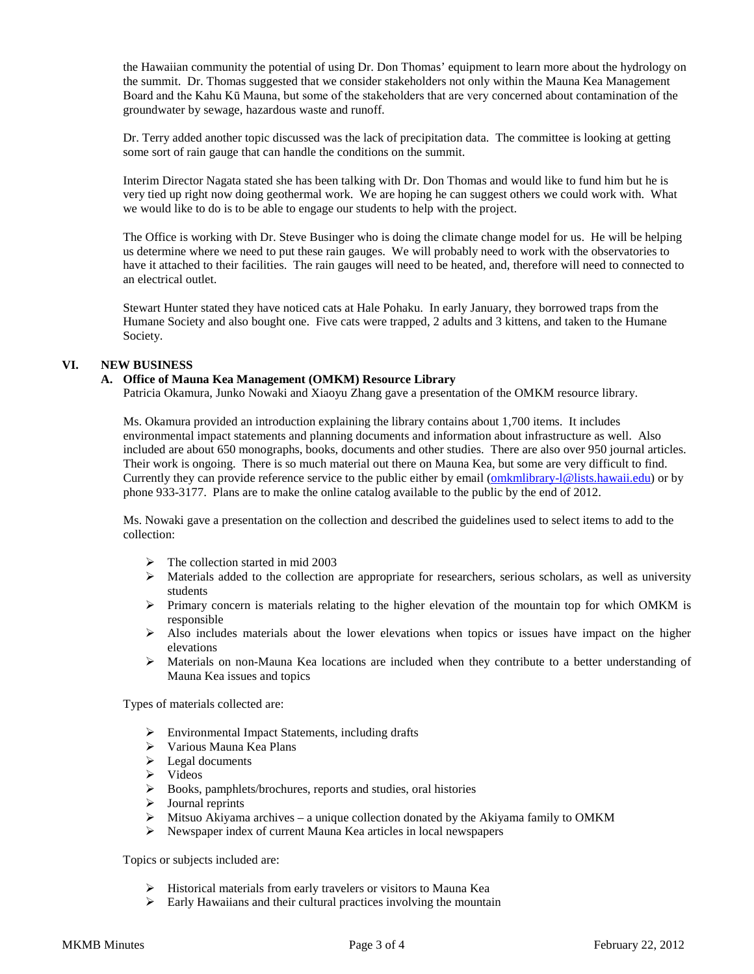the Hawaiian community the potential of using Dr. Don Thomas' equipment to learn more about the hydrology on the summit. Dr. Thomas suggested that we consider stakeholders not only within the Mauna Kea Management Board and the Kahu Kū Mauna, but some of the stakeholders that are very concerned about contamination of the groundwater by sewage, hazardous waste and runoff.

Dr. Terry added another topic discussed was the lack of precipitation data. The committee is looking at getting some sort of rain gauge that can handle the conditions on the summit.

Interim Director Nagata stated she has been talking with Dr. Don Thomas and would like to fund him but he is very tied up right now doing geothermal work. We are hoping he can suggest others we could work with. What we would like to do is to be able to engage our students to help with the project.

The Office is working with Dr. Steve Businger who is doing the climate change model for us. He will be helping us determine where we need to put these rain gauges. We will probably need to work with the observatories to have it attached to their facilities. The rain gauges will need to be heated, and, therefore will need to connected to an electrical outlet.

Stewart Hunter stated they have noticed cats at Hale Pohaku. In early January, they borrowed traps from the Humane Society and also bought one. Five cats were trapped, 2 adults and 3 kittens, and taken to the Humane Society.

# **VI. NEW BUSINESS**

### **A. Office of Mauna Kea Management (OMKM) Resource Library**

Patricia Okamura, Junko Nowaki and Xiaoyu Zhang gave a presentation of the OMKM resource library.

Ms. Okamura provided an introduction explaining the library contains about 1,700 items. It includes environmental impact statements and planning documents and information about infrastructure as well. Also included are about 650 monographs, books, documents and other studies. There are also over 950 journal articles. Their work is ongoing. There is so much material out there on Mauna Kea, but some are very difficult to find. Currently they can provide reference service to the public either by email [\(omkmlibrary-l@lists.hawaii.edu\)](mailto:omkmlibrary-l@lists.hawaii.edu) or by phone 933-3177. Plans are to make the online catalog available to the public by the end of 2012.

Ms. Nowaki gave a presentation on the collection and described the guidelines used to select items to add to the collection:

- $\triangleright$  The collection started in mid 2003
- $\triangleright$  Materials added to the collection are appropriate for researchers, serious scholars, as well as university students
- $\triangleright$  Primary concern is materials relating to the higher elevation of the mountain top for which OMKM is responsible
- $\triangleright$  Also includes materials about the lower elevations when topics or issues have impact on the higher elevations
- Materials on non-Mauna Kea locations are included when they contribute to a better understanding of Mauna Kea issues and topics

Types of materials collected are:

- Environmental Impact Statements, including drafts
- Various Mauna Kea Plans
- $\blacktriangleright$  Legal documents
- $\triangleright$  Videos
- Books, pamphlets/brochures, reports and studies, oral histories
- $\triangleright$  Journal reprints
- Mitsuo Akiyama archives a unique collection donated by the Akiyama family to OMKM
- Newspaper index of current Mauna Kea articles in local newspapers

Topics or subjects included are:

- Historical materials from early travelers or visitors to Mauna Kea
- $\triangleright$  Early Hawaiians and their cultural practices involving the mountain